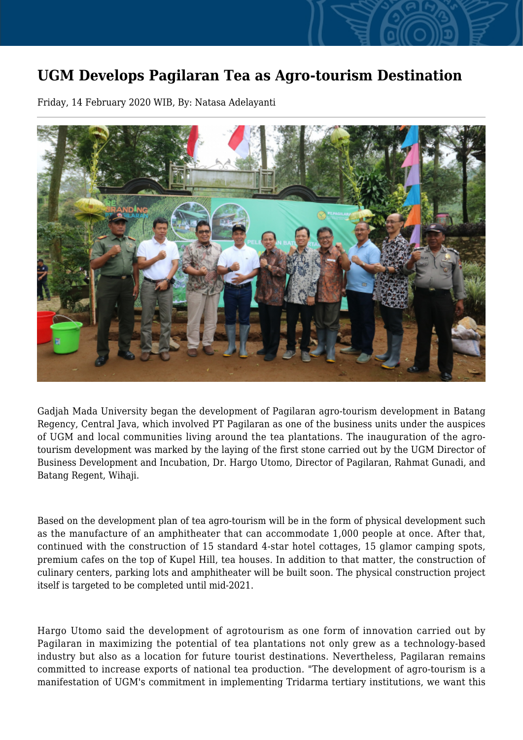## **UGM Develops Pagilaran Tea as Agro-tourism Destination**

Friday, 14 February 2020 WIB, By: Natasa Adelayanti



Gadjah Mada University began the development of Pagilaran agro-tourism development in Batang Regency, Central Java, which involved PT Pagilaran as one of the business units under the auspices of UGM and local communities living around the tea plantations. The inauguration of the agrotourism development was marked by the laying of the first stone carried out by the UGM Director of Business Development and Incubation, Dr. Hargo Utomo, Director of Pagilaran, Rahmat Gunadi, and Batang Regent, Wihaji.

Based on the development plan of tea agro-tourism will be in the form of physical development such as the manufacture of an amphitheater that can accommodate 1,000 people at once. After that, continued with the construction of 15 standard 4-star hotel cottages, 15 glamor camping spots, premium cafes on the top of Kupel Hill, tea houses. In addition to that matter, the construction of culinary centers, parking lots and amphitheater will be built soon. The physical construction project itself is targeted to be completed until mid-2021.

Hargo Utomo said the development of agrotourism as one form of innovation carried out by Pagilaran in maximizing the potential of tea plantations not only grew as a technology-based industry but also as a location for future tourist destinations. Nevertheless, Pagilaran remains committed to increase exports of national tea production. "The development of agro-tourism is a manifestation of UGM's commitment in implementing Tridarma tertiary institutions, we want this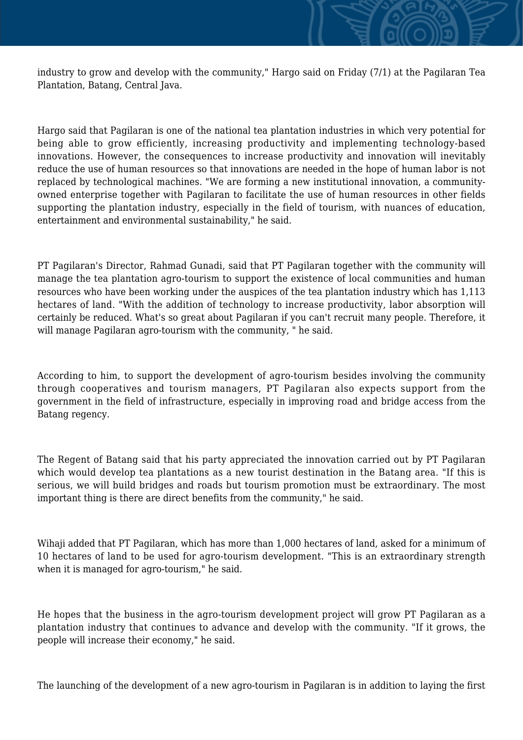industry to grow and develop with the community," Hargo said on Friday (7/1) at the Pagilaran Tea Plantation, Batang, Central Java.

Hargo said that Pagilaran is one of the national tea plantation industries in which very potential for being able to grow efficiently, increasing productivity and implementing technology-based innovations. However, the consequences to increase productivity and innovation will inevitably reduce the use of human resources so that innovations are needed in the hope of human labor is not replaced by technological machines. "We are forming a new institutional innovation, a communityowned enterprise together with Pagilaran to facilitate the use of human resources in other fields supporting the plantation industry, especially in the field of tourism, with nuances of education, entertainment and environmental sustainability," he said.

PT Pagilaran's Director, Rahmad Gunadi, said that PT Pagilaran together with the community will manage the tea plantation agro-tourism to support the existence of local communities and human resources who have been working under the auspices of the tea plantation industry which has 1,113 hectares of land. "With the addition of technology to increase productivity, labor absorption will certainly be reduced. What's so great about Pagilaran if you can't recruit many people. Therefore, it will manage Pagilaran agro-tourism with the community, " he said.

According to him, to support the development of agro-tourism besides involving the community through cooperatives and tourism managers, PT Pagilaran also expects support from the government in the field of infrastructure, especially in improving road and bridge access from the Batang regency.

The Regent of Batang said that his party appreciated the innovation carried out by PT Pagilaran which would develop tea plantations as a new tourist destination in the Batang area. "If this is serious, we will build bridges and roads but tourism promotion must be extraordinary. The most important thing is there are direct benefits from the community," he said.

Wihaji added that PT Pagilaran, which has more than 1,000 hectares of land, asked for a minimum of 10 hectares of land to be used for agro-tourism development. "This is an extraordinary strength when it is managed for agro-tourism," he said.

He hopes that the business in the agro-tourism development project will grow PT Pagilaran as a plantation industry that continues to advance and develop with the community. "If it grows, the people will increase their economy," he said.

The launching of the development of a new agro-tourism in Pagilaran is in addition to laying the first